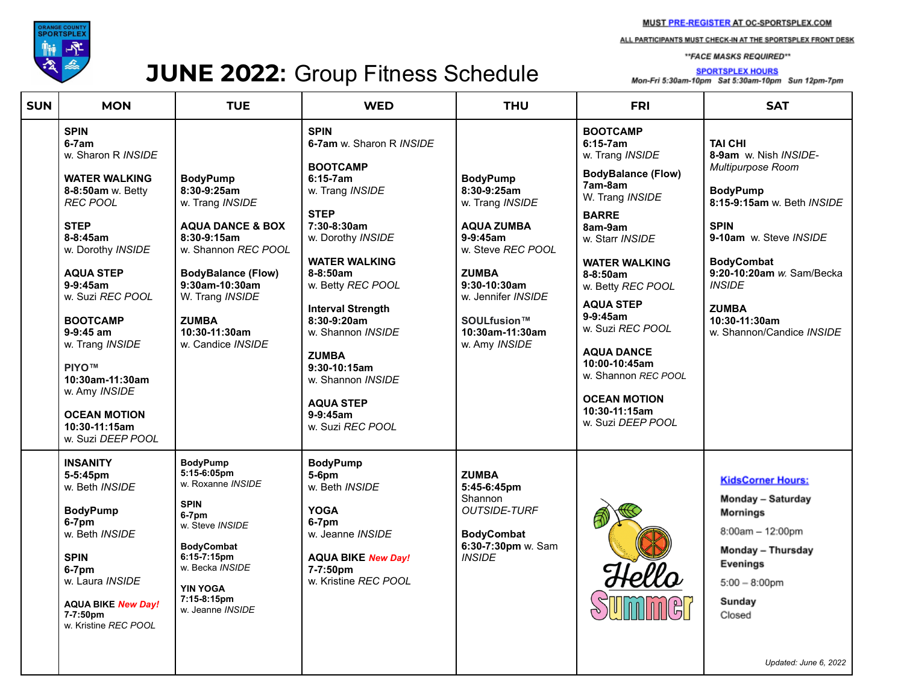

## JUNE 2022: Group Fitness Schedule

ALL PARTICIPANTS MUST CHECK-IN AT THE SPORTSPLEX FRONT DESK

\*\*FACE MASKS REQUIRED\*\*

**SPORTSPLEX HOURS** Mon-Fri 5:30am-10pm Sat 5:30am-10pm Sun 12pm-7pm

| <b>SUN</b> | <b>MON</b>                                                                                                                                                                                                                                                                                                                                                                                    | <b>TUE</b>                                                                                                                                                                                                                                       | <b>WED</b>                                                                                                                                                                                                                                                                                                                                                                             | <b>THU</b>                                                                                                                                                                                                           | <b>FRI</b>                                                                                                                                                                                                                                                                                                                                                                                              | <b>SAT</b>                                                                                                                                                                                                                                                                              |
|------------|-----------------------------------------------------------------------------------------------------------------------------------------------------------------------------------------------------------------------------------------------------------------------------------------------------------------------------------------------------------------------------------------------|--------------------------------------------------------------------------------------------------------------------------------------------------------------------------------------------------------------------------------------------------|----------------------------------------------------------------------------------------------------------------------------------------------------------------------------------------------------------------------------------------------------------------------------------------------------------------------------------------------------------------------------------------|----------------------------------------------------------------------------------------------------------------------------------------------------------------------------------------------------------------------|---------------------------------------------------------------------------------------------------------------------------------------------------------------------------------------------------------------------------------------------------------------------------------------------------------------------------------------------------------------------------------------------------------|-----------------------------------------------------------------------------------------------------------------------------------------------------------------------------------------------------------------------------------------------------------------------------------------|
|            | <b>SPIN</b><br>$6-7am$<br>w. Sharon R INSIDE<br><b>WATER WALKING</b><br>8-8:50am w. Betty<br><b>REC POOL</b><br><b>STEP</b><br>$8 - 8:45$ am<br>w. Dorothy INSIDE<br><b>AQUA STEP</b><br>$9-9:45am$<br>w. Suzi REC POOL<br><b>BOOTCAMP</b><br>$9-9:45$ am<br>w. Trang INSIDE<br><b>PIYO™</b><br>10:30am-11:30am<br>w. Amy INSIDE<br><b>OCEAN MOTION</b><br>10:30-11:15am<br>w. Suzi DEEP POOL | <b>BodyPump</b><br>8:30-9:25am<br>w. Trang INSIDE<br><b>AQUA DANCE &amp; BOX</b><br>$8:30-9:15am$<br>w. Shannon REC POOL<br><b>BodyBalance (Flow)</b><br>9:30am-10:30am<br>W. Trang INSIDE<br><b>ZUMBA</b><br>10:30-11:30am<br>w. Candice INSIDE | <b>SPIN</b><br>6-7am w. Sharon R INSIDE<br><b>BOOTCAMP</b><br>$6:15-7am$<br>w. Trang INSIDE<br><b>STEP</b><br>7:30-8:30am<br>w. Dorothy INSIDE<br><b>WATER WALKING</b><br>$8-8:50am$<br>w. Betty REC POOL<br><b>Interval Strength</b><br>$8:30-9:20am$<br>w. Shannon INSIDE<br><b>ZUMBA</b><br>9:30-10:15am<br>w. Shannon INSIDE<br><b>AQUA STEP</b><br>$9-9:45am$<br>w. Suzi REC POOL | <b>BodyPump</b><br>8:30-9:25am<br>w. Trang INSIDE<br><b>AQUA ZUMBA</b><br>$9-9:45am$<br>w. Steve REC POOL<br><b>ZUMBA</b><br>$9:30-10:30am$<br>w. Jennifer INSIDE<br>SOULfusion™<br>10:30am-11:30am<br>w. Amy INSIDE | <b>BOOTCAMP</b><br>$6:15-7am$<br>w. Trang INSIDE<br><b>BodyBalance (Flow)</b><br>7am-8am<br>W. Trang INSIDE<br><b>BARRE</b><br>8am-9am<br>w. Starr INSIDE<br><b>WATER WALKING</b><br>$8 - 8:50$ am<br>w. Betty REC POOL<br><b>AQUA STEP</b><br>$9-9:45am$<br>w. Suzi REC POOL<br><b>AQUA DANCE</b><br>10:00-10:45am<br>w. Shannon REC POOL<br><b>OCEAN MOTION</b><br>10:30-11:15am<br>w. Suzi DEEP POOL | <b>TAI CHI</b><br>8-9am w. Nish INSIDE-<br>Multipurpose Room<br><b>BodyPump</b><br>8:15-9:15am w. Beth INSIDE<br><b>SPIN</b><br>9-10am w. Steve INSIDE<br><b>BodyCombat</b><br>9:20-10:20am w. Sam/Becka<br><b>INSIDE</b><br><b>ZUMBA</b><br>10:30-11:30am<br>w. Shannon/Candice INSIDE |
|            | <b>INSANITY</b><br>5-5:45pm<br>w. Beth INSIDE<br><b>BodyPump</b><br>6-7pm<br>w. Beth INSIDE<br><b>SPIN</b><br>6-7pm<br>w. Laura INSIDE<br><b>AQUA BIKE New Day!</b><br>7-7:50pm<br>w. Kristine REC POOL                                                                                                                                                                                       | <b>BodyPump</b><br>5:15-6:05pm<br>w. Roxanne INSIDE<br><b>SPIN</b><br>6-7pm<br>w. Steve INSIDE<br><b>BodyCombat</b><br>6:15-7:15pm<br>w. Becka INSIDE<br><b>YIN YOGA</b><br>7:15-8:15pm<br>w. Jeanne INSIDE                                      | <b>BodyPump</b><br>5-6pm<br>w. Beth INSIDE<br><b>YOGA</b><br>6-7pm<br>w. Jeanne INSIDE<br><b>AQUA BIKE New Day!</b><br>7-7:50pm<br>w. Kristine REC POOL                                                                                                                                                                                                                                | <b>ZUMBA</b><br>5:45-6:45pm<br>Shannon<br><b>OUTSIDE-TURF</b><br><b>BodyCombat</b><br>6:30-7:30pm w. Sam<br><b>INSIDE</b>                                                                                            |                                                                                                                                                                                                                                                                                                                                                                                                         | <b>KidsCorner Hours:</b><br>Monday - Saturday<br><b>Mornings</b><br>8:00am - 12:00pm<br>Monday - Thursday<br>Evenings<br>$5:00 - 8:00$ pm<br>Sunday<br>Closed<br>Updated: June 6, 2022                                                                                                  |